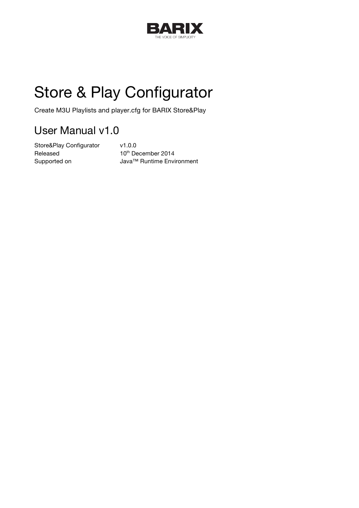

# Store & Play Configurator

Create M3U Playlists and player.cfg for BARIX Store&Play

## User Manual v1.0

Store&Play Configurator v1.0.0 Released 10<sup>th</sup> December 2014

Supported on Java™ Runtime Environment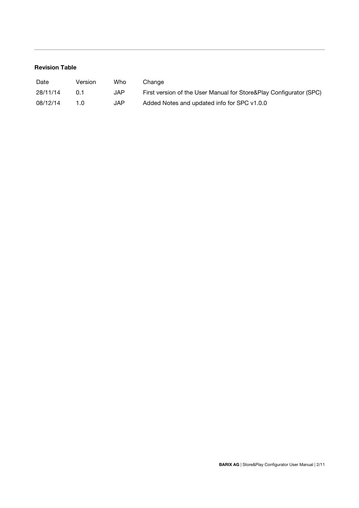## **Revision Table**

| Date     | Version | Who | Change                                                             |
|----------|---------|-----|--------------------------------------------------------------------|
| 28/11/14 | 0 1     | JAP | First version of the User Manual for Store&Play Configurator (SPC) |
| 08/12/14 | 1 N     | JAP | Added Notes and updated info for SPC v1.0.0                        |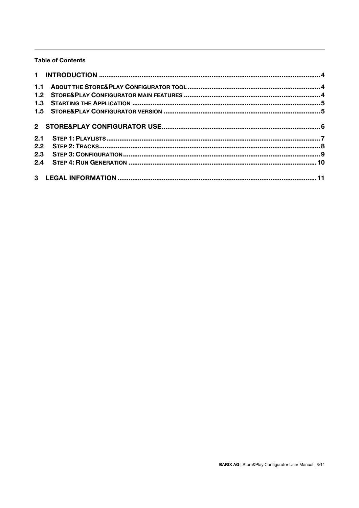## **Table of Contents**

| 1.1 |  |
|-----|--|
| 1.2 |  |
|     |  |
|     |  |
|     |  |
| 2.1 |  |
| 2.2 |  |
| 2.3 |  |
|     |  |
|     |  |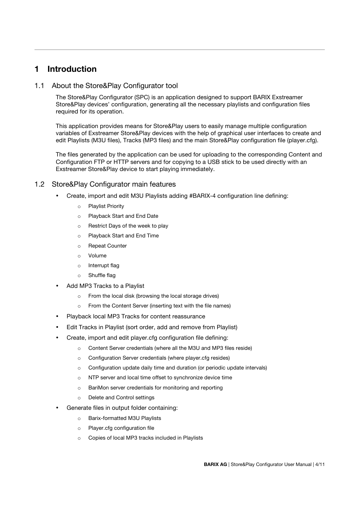## **1 Introduction**

## 1.1 About the Store&Play Configurator tool

The Store&Play Configurator (SPC) is an application designed to support BARIX Exstreamer Store&Play devices' configuration, generating all the necessary playlists and configuration files required for its operation.

This application provides means for Store&Play users to easily manage multiple configuration variables of Exstreamer Store&Play devices with the help of graphical user interfaces to create and edit Playlists (M3U files), Tracks (MP3 files) and the main Store&Play configuration file (player.cfg).

The files generated by the application can be used for uploading to the corresponding Content and Configuration FTP or HTTP servers and for copying to a USB stick to be used directly with an Exstreamer Store&Play device to start playing immediately.

## 1.2 Store&Play Configurator main features

- Create, import and edit M3U Playlists adding #BARIX-4 configuration line defining:
	- o Playlist Priority
	- o Playback Start and End Date
	- o Restrict Days of the week to play
	- o Playback Start and End Time
	- o Repeat Counter
	- o Volume
	- o Interrupt flag
	- o Shuffle flag
- Add MP3 Tracks to a Playlist
	- o From the local disk (browsing the local storage drives)
	- o From the Content Server (inserting text with the file names)
- Playback local MP3 Tracks for content reassurance
- Edit Tracks in Playlist (sort order, add and remove from Playlist)
- Create, import and edit player.cfg configuration file defining:
	- o Content Server credentials (where all the M3U and MP3 files reside)
	- o Configuration Server credentials (where player.cfg resides)
	- $\circ$  Configuration update daily time and duration (or periodic update intervals)
	- o NTP server and local time offset to synchronize device time
	- o BariMon server credentials for monitoring and reporting
	- o Delete and Control settings
- Generate files in output folder containing:
	- o Barix-formatted M3U Playlists
	- o Player.cfg configuration file
	- o Copies of local MP3 tracks included in Playlists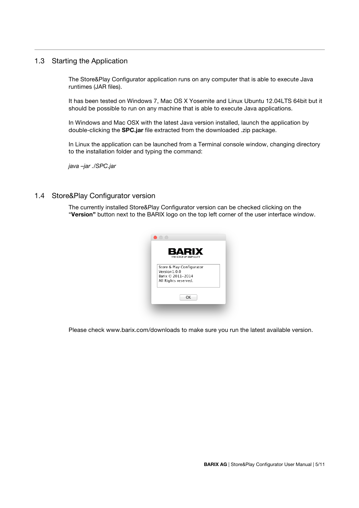## 1.3 Starting the Application

The Store&Play Configurator application runs on any computer that is able to execute Java runtimes (JAR files).

It has been tested on Windows 7, Mac OS X Yosemite and Linux Ubuntu 12.04LTS 64bit but it should be possible to run on any machine that is able to execute Java applications.

In Windows and Mac OSX with the latest Java version installed, launch the application by double-clicking the **SPC.jar** file extracted from the downloaded .zip package.

In Linux the application can be launched from a Terminal console window, changing directory to the installation folder and typing the command:

*java –jar ./SPC.jar*

## 1.4 Store&Play Configurator version

The currently installed Store&Play Configurator version can be checked clicking on the "**Version"** button next to the BARIX logo on the top left corner of the user interface window.



Please check www.barix.com/downloads to make sure you run the latest available version.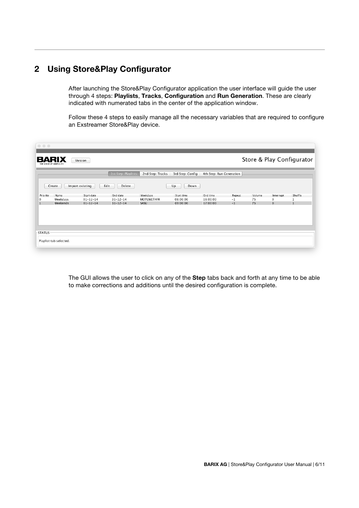## **2 Using Store&Play Configurator**

After launching the Store&Play Configurator application the user interface will guide the user through 4 steps: **Playlists**, **Tracks**, **Configuration** and **Run Generation**. These are clearly indicated with numerated tabs in the center of the application window.

Follow these 4 steps to easily manage all the necessary variables that are required to configure an Exstreamer Store&Play device.

| $\circ\circ\circ$<br>BARIX<br>THE VOICE OF SIMPLICITY |                        | Version                          |                                  |                               |                      |                          |              |          |                     | Store & Play Configurator |
|-------------------------------------------------------|------------------------|----------------------------------|----------------------------------|-------------------------------|----------------------|--------------------------|--------------|----------|---------------------|---------------------------|
|                                                       |                        |                                  | 1st Step: Playlists              | 2nd Step: Tracks              | 3rd Step: Config     | 4th Step: Run Generation |              |          |                     |                           |
|                                                       | Create                 | Import existing                  | Edit<br>Delete                   |                               | Down<br>Up           |                          |              |          |                     |                           |
| Priority                                              | Name                   | Start date                       | End date                         | Weekdays<br><b>MOTUWETHFR</b> | Start time           | End time                 | Repeat       | Volume   | Interrupt           | Shuffle                   |
| 0<br>1                                                | Weekdays<br>Weekends   | $01 - 12 - 14$<br>$01 - 12 - 14$ | $31 - 12 - 14$<br>$31 - 12 - 14$ | SASU                          | 08:00:00<br>09:00:00 | 18:00:00<br>17:00:00     | $-1$<br>$-1$ | 75<br>75 | 0<br>$\overline{0}$ | U.                        |
|                                                       |                        |                                  |                                  |                               |                      |                          |              |          |                     |                           |
|                                                       |                        |                                  |                                  |                               |                      |                          |              |          |                     |                           |
|                                                       |                        |                                  |                                  |                               |                      |                          |              |          |                     |                           |
| <b>STATUS</b>                                         |                        |                                  |                                  |                               |                      |                          |              |          |                     |                           |
|                                                       | Playlist tab selected. |                                  |                                  |                               |                      |                          |              |          |                     |                           |
|                                                       |                        |                                  |                                  |                               |                      |                          |              |          |                     |                           |

The GUI allows the user to click on any of the **Step** tabs back and forth at any time to be able to make corrections and additions until the desired configuration is complete.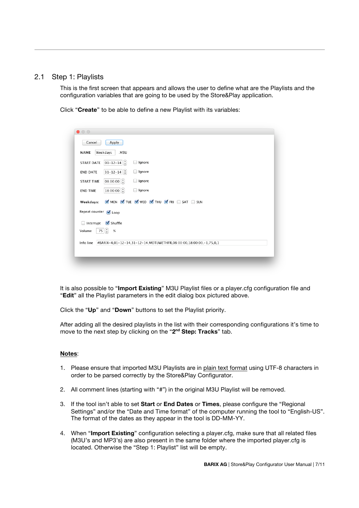## 2.1 Step 1: Playlists

This is the first screen that appears and allows the user to define what are the Playlists and the configuration variables that are going to be used by the Store&Play application.

Click "**Create**" to be able to define a new Playlist with its variables:

| $\bullet$ 00                              |                                                                              |
|-------------------------------------------|------------------------------------------------------------------------------|
| Cancel<br>Weekdays<br><b>NAME</b>         | Apply<br>.M3U                                                                |
|                                           |                                                                              |
| <b>START DATE</b>                         | $01 - 12 - 14$ $(\frac{1}{7})$<br>gnore                                      |
| <b>END DATE</b>                           | $31 - 12 - 14$<br>□ Ignore                                                   |
| <b>START TIME</b>                         | 08:00:00<br>□ Ignore                                                         |
| <b>END TIME</b>                           | $18:00:00$ $\left( \frac{4}{7} \right)$<br>gnore                             |
| Weekdays:                                 | MON V TUE V WED V THU V FRI SAT SUN                                          |
| Repeat counter V Loop                     |                                                                              |
| Interrupt<br>∩                            | Shuffle                                                                      |
| 75 $\left  \frac{4}{7} \right $<br>Volume | $\%$                                                                         |
|                                           | Info line  #BARIX-4,01-12-14,31-12-14,MOTUWETHFR,08:00:00,18:00:00,-1,75,0,1 |
|                                           |                                                                              |
|                                           |                                                                              |

It is also possible to "**Import Existing**" M3U Playlist files or a player.cfg configuration file and "**Edit**" all the Playlist parameters in the edit dialog box pictured above.

Click the "**Up**" and "**Down**" buttons to set the Playlist priority.

After adding all the desired playlists in the list with their corresponding configurations it's time to move to the next step by clicking on the "**2nd Step: Tracks**" tab.

#### **Notes**:

- 1. Please ensure that imported M3U Playlists are in plain text format using UTF-8 characters in order to be parsed correctly by the Store&Play Configurator.
- 2. All comment lines (starting with "#") in the original M3U Playlist will be removed.
- 3. If the tool isn't able to set **Start** or **End Dates** or **Times**, please configure the "Regional Settings" and/or the "Date and Time format" of the computer running the tool to "English-US". The format of the dates as they appear in the tool is DD-MM-YY.
- 4. When "**Import Existing**" configuration selecting a player.cfg, make sure that all related files (M3U's and MP3's) are also present in the same folder where the imported player.cfg is located. Otherwise the "Step 1: Playlist" list will be empty.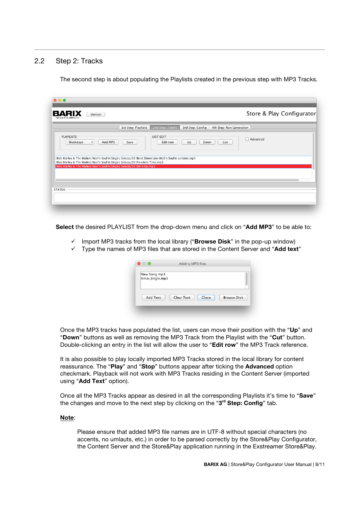## 2.2 Step 2: Tracks

The second step is about populating the Playlists created in the previous step with MP3 Tracks.

| <b>BARIX</b><br>THE VOICE OF SIMPLICITY | Version                                                                                                                                                  |                     |                               |                  |                          | Store & Play Configurator |  |
|-----------------------------------------|----------------------------------------------------------------------------------------------------------------------------------------------------------|---------------------|-------------------------------|------------------|--------------------------|---------------------------|--|
|                                         |                                                                                                                                                          | 1st Step: Playlists | 2nd Step: Tracks              | 3rd Step: Config | 4th Step: Run Generation |                           |  |
| <b>PLAYLISTS</b><br>Weekdays            | ÷<br>Add MP3                                                                                                                                             | Save                | <b>LIST EDIT-</b><br>Edit row | Up<br>Down       | Cut                      | Advanced                  |  |
|                                         | /Bob Marley & The Wailers/Wail'n Soul'm Singles Selecta/01 Bend Down Low (Wail'n Soul'm version).mp3                                                     |                     |                               |                  |                          |                           |  |
|                                         | /Bob Marley & The Wailers/Wail'n Soul'm Singles Selecta/02 Freedom Time.mp3<br>/Bob Marley & The Wailers/Wail'n Soul'm Singles Selecta/03 Stir It Up.mp3 |                     |                               |                  |                          |                           |  |
|                                         |                                                                                                                                                          |                     |                               |                  |                          |                           |  |
|                                         |                                                                                                                                                          |                     |                               |                  |                          |                           |  |
| <b>STATUS</b>                           |                                                                                                                                                          |                     |                               |                  |                          |                           |  |

**Select** the desired PLAYLIST from the drop-down menu and click on "**Add MP3**" to be able to:

- $\checkmark$  Import MP3 tracks from the local library ("**Browse Disk**" in the pop-up window)
- $\checkmark$  Type the names of MP3 files that are stored in the Content Server and "**Add text**"

|                                 | Adding MP3 files |       |                    |
|---------------------------------|------------------|-------|--------------------|
| New Song.mp3<br>Xmas Jingle.mp3 |                  |       |                    |
| Add Text                        | Clear Text       | Close | <b>Browse Disk</b> |

Once the MP3 tracks have populated the list, users can move their position with the "**Up**" and "**Down**" buttons as well as removing the MP3 Track from the Playlist with the "**Cut**" button. Double-clicking an entry in the list will allow the user to "**Edit row**" the MP3 Track reference.

It is also possible to play locally imported MP3 Tracks stored in the local library for content reassurance. The "**Play**" and "**Stop**" buttons appear after ticking the **Advanced** option checkmark. Playback will not work with MP3 Tracks residing in the Content Server (imported using "**Add Text**" option).

Once all the MP3 Tracks appear as desired in all the corresponding Playlists it's time to "**Save**" the changes and move to the next step by clicking on the "**3rd Step: Config**" tab.

#### **Note**:

Please ensure that added MP3 file names are in UTF-8 without special characters (no accents, no umlauts, etc.) in order to be parsed correctly by the Store&Play Configurator, the Content Server and the Store&Play application running in the Exstreamer Store&Play.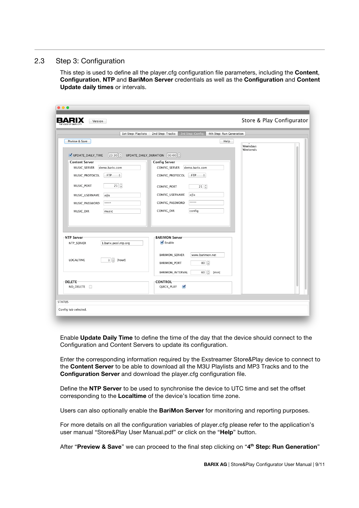## 2.3 Step 3: Configuration

This step is used to define all the player.cfg configuration file parameters, including the **Content**, **Configuration**, **NTP** and **BariMon Server** credentials as well as the **Configuration** and **Content Update daily times** or intervals.

| 1st Step: Playlists                                                                                                                                                                                                                                                                    | 3rd Step: Config<br>4th Step: Run Generation<br>2nd Step: Tracks                                                                                                                                                                                                  |                      |  |
|----------------------------------------------------------------------------------------------------------------------------------------------------------------------------------------------------------------------------------------------------------------------------------------|-------------------------------------------------------------------------------------------------------------------------------------------------------------------------------------------------------------------------------------------------------------------|----------------------|--|
| Peview & Save<br>UPDATE_DAILY_TIME<br>$23:30$ $\frac{4}{7}$<br><b>Content Server</b><br>demo.barix.com<br>MUSIC_SERVER<br>MUSIC_PROTOCOL<br>$\hat{\div}$<br><b>FTP</b><br>$21$ $(\frac{4}{7})$<br>MUSIC_PORT<br>MUSIC_USERNAME<br>a@a<br>*****<br>MUSIC_PASSWORD<br>MUSIC_DIR<br>music | Help<br>UPDATE_DAILY_DURATION 03:00<br><b>Config Server</b><br>CONFIG_SERVER<br>demo.barix.com<br>FTP<br>CONFIG_PROTOCOL<br>÷<br>$21\left(\frac{1}{r}\right)$<br>CONFIG_PORT<br>CONFIG_USERNAME<br>a@a<br>*****<br>CONFIG_PASSWORD<br>CONFIG_DIR<br>config        | Weekdays<br>Weekends |  |
| NTP Server<br>NTP_SERVER<br>1.barix.pool.ntp.org<br>$1 \binom{4}{x}$ [hour]<br>LOCALTIME<br><b>DELETE</b><br>NO_DELETE                                                                                                                                                                 | <b>BARIMON Server</b><br>$\blacksquare$ Enable<br>BARIMON_SERVER<br>www.barimon.net<br>$80$ <sup><math>\left(\frac{1}{7}\right)</math></sup><br>BARIMON_PORT<br>$60   \frac{4}{7}$<br>BARIMON_INTERVAL<br>[min]<br><b>CONTROL</b><br>$\blacksquare$<br>QUICK_PLAY |                      |  |

Enable **Update Daily Time** to define the time of the day that the device should connect to the Configuration and Content Servers to update its configuration.

Enter the corresponding information required by the Exstreamer Store&Play device to connect to the **Content Server** to be able to download all the M3U Playlists and MP3 Tracks and to the **Configuration Server** and download the player.cfg configuration file.

Define the **NTP Server** to be used to synchronise the device to UTC time and set the offset corresponding to the **Localtime** of the device's location time zone.

Users can also optionally enable the **BariMon Server** for monitoring and reporting purposes.

For more details on all the configuration variables of player.cfg please refer to the application's user manual "Store&Play User Manual.pdf" or click on the "**Help**" button.

After "**Preview & Save**" we can proceed to the final step clicking on "**4th Step: Run Generation**"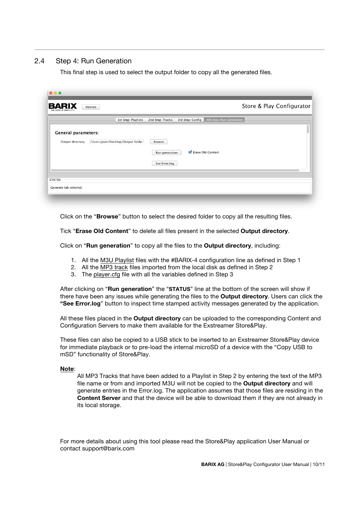## 2.4 Step 4: Run Generation

This final step is used to select the output folder to copy all the generated files.

| $\bullet\bullet\bullet$                            |                                                                                         |                           |
|----------------------------------------------------|-----------------------------------------------------------------------------------------|---------------------------|
| <b>BARIX</b><br>Version<br>THE VOICE OF SIMPLICITY |                                                                                         | Store & Play Configurator |
|                                                    | 4th Step: Run Generation<br>1st Step: Playlists<br>2nd Step: Tracks<br>3rd Step: Config |                           |
| <b>General parameters:</b>                         |                                                                                         |                           |
| Output directory                                   | /Users/joan/Desktop/Output folder<br>Browse                                             |                           |
|                                                    | Erase Old Content<br>Run generation                                                     |                           |
|                                                    | See Error.log                                                                           |                           |
|                                                    |                                                                                         |                           |
| STATUS-<br>Generate tab selected.                  |                                                                                         |                           |
|                                                    |                                                                                         |                           |

Click on the "**Browse**" button to select the desired folder to copy all the resulting files.

Tick "**Erase Old Content**" to delete all files present in the selected **Output directory**.

Click on "**Run generation**" to copy all the files to the **Output directory**, including:

- 1. All the M3U Playlist files with the #BARIX-4 configuration line as defined in Step 1
- 2. All the MP3 track files imported from the local disk as defined in Step 2
- 3. The player.cfg file with all the variables defined in Step 3

After clicking on "**Run generation**" the "**STATUS**" line at the bottom of the screen will show if there have been any issues while generating the files to the **Output directory**. Users can click the **"See Error.log**" button to inspect time stamped activity messages generated by the application.

All these files placed in the **Output directory** can be uploaded to the corresponding Content and Configuration Servers to make them available for the Exstreamer Store&Play.

These files can also be copied to a USB stick to be inserted to an Exstreamer Store&Play device for immediate playback or to pre-load the internal microSD of a device with the "Copy USB to mSD" functionality of Store&Play.

#### **Note**:

All MP3 Tracks that have been added to a Playlist in Step 2 by entering the text of the MP3 file name or from and imported M3U will not be copied to the **Output directory** and will generate entries in the Error.log. The application assumes that those files are residing in the **Content Server** and that the device will be able to download them if they are not already in its local storage.

For more details about using this tool please read the Store&Play application User Manual or contact support@barix.com